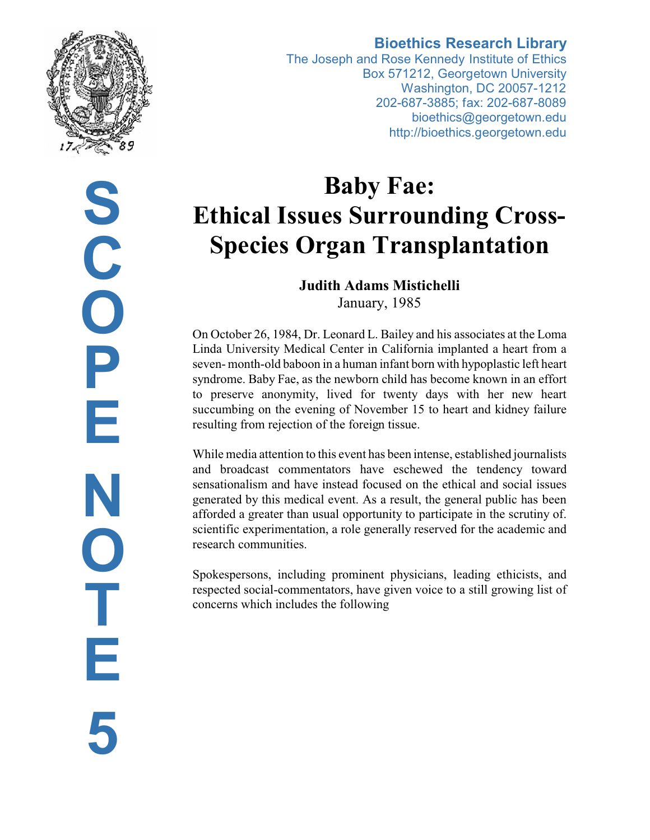

**S C O P E N O T E 5**

# **Bioethics Research Library**

The Joseph and Rose Kennedy Institute of Ethics Box 571212, Georgetown University Washington, DC 20057-1212 202-687-3885; fax: 202-687-8089 bioethics@georgetown.edu http://bioethics.georgetown.edu

# **Baby Fae: Ethical Issues Surrounding Cross-Species Organ Transplantation**

# **Judith Adams Mistichelli** January, 1985

On October 26, 1984, Dr. Leonard L. Bailey and his associates at the Loma Linda University Medical Center in California implanted a heart from a seven- month-old baboon in a human infant born with hypoplastic left heart syndrome. Baby Fae, as the newborn child has become known in an effort to preserve anonymity, lived for twenty days with her new heart succumbing on the evening of November 15 to heart and kidney failure resulting from rejection of the foreign tissue.

While media attention to this event has been intense, established journalists and broadcast commentators have eschewed the tendency toward sensationalism and have instead focused on the ethical and social issues generated by this medical event. As a result, the general public has been afforded a greater than usual opportunity to participate in the scrutiny of. scientific experimentation, a role generally reserved for the academic and research communities.

Spokespersons, including prominent physicians, leading ethicists, and respected social-commentators, have given voice to a still growing list of concerns which includes the following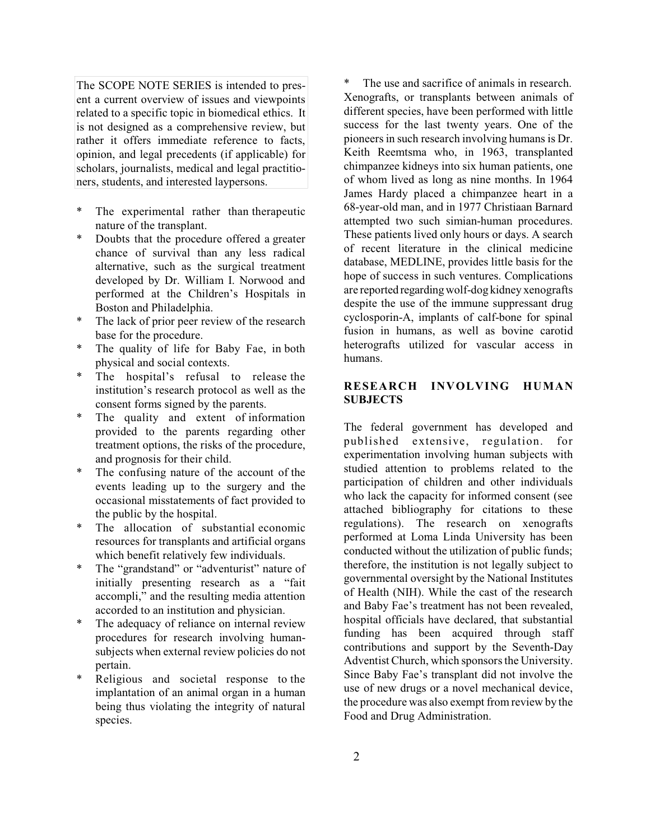The SCOPE NOTE SERIES is intended to present a current overview of issues and viewpoints related to a specific topic in biomedical ethics. It is not designed as a comprehensive review, but rather it offers immediate reference to facts, opinion, and legal precedents (if applicable) for scholars, journalists, medical and legal practitioners, students, and interested laypersons.

- The experimental rather than therapeutic nature of the transplant.
- Doubts that the procedure offered a greater chance of survival than any less radical alternative, such as the surgical treatment developed by Dr. William I. Norwood and performed at the Children's Hospitals in Boston and Philadelphia.
- The lack of prior peer review of the research base for the procedure.
- The quality of life for Baby Fae, in both physical and social contexts.
- The hospital's refusal to release the institution's research protocol as well as the consent forms signed by the parents.
- \* The quality and extent of information provided to the parents regarding other treatment options, the risks of the procedure, and prognosis for their child.
- The confusing nature of the account of the events leading up to the surgery and the occasional misstatements of fact provided to the public by the hospital.
- \* The allocation of substantial economic resources for transplants and artificial organs which benefit relatively few individuals.
- \* The "grandstand" or "adventurist" nature of initially presenting research as a "fait accompli," and the resulting media attention accorded to an institution and physician.
- The adequacy of reliance on internal review procedures for research involving humansubjects when external review policies do not pertain.
- Religious and societal response to the implantation of an animal organ in a human being thus violating the integrity of natural species.

The use and sacrifice of animals in research. Xenografts, or transplants between animals of different species, have been performed with little success for the last twenty years. One of the pioneers in such research involving humans is Dr. Keith Reemtsma who, in 1963, transplanted chimpanzee kidneys into six human patients, one of whom lived as long as nine months. In 1964 James Hardy placed a chimpanzee heart in a 68-year-old man, and in 1977 Christiaan Barnard attempted two such simian-human procedures. These patients lived only hours or days. A search of recent literature in the clinical medicine database, MEDLINE, provides little basis for the hope of success in such ventures. Complications are reported regardingwolf-dog kidney xenografts despite the use of the immune suppressant drug cyclosporin-A, implants of calf-bone for spinal fusion in humans, as well as bovine carotid heterografts utilized for vascular access in humans.

# **RESEARCH INVOLVING HUMAN SUBJECTS**

The federal government has developed and published extensive, regulation. for experimentation involving human subjects with studied attention to problems related to the participation of children and other individuals who lack the capacity for informed consent (see attached bibliography for citations to these regulations). The research on xenografts performed at Loma Linda University has been conducted without the utilization of public funds; therefore, the institution is not legally subject to governmental oversight by the National Institutes of Health (NIH). While the cast of the research and Baby Fae's treatment has not been revealed, hospital officials have declared, that substantial funding has been acquired through staff contributions and support by the Seventh-Day Adventist Church, which sponsors the University. Since Baby Fae's transplant did not involve the use of new drugs or a novel mechanical device, the procedure was also exempt from review by the Food and Drug Administration.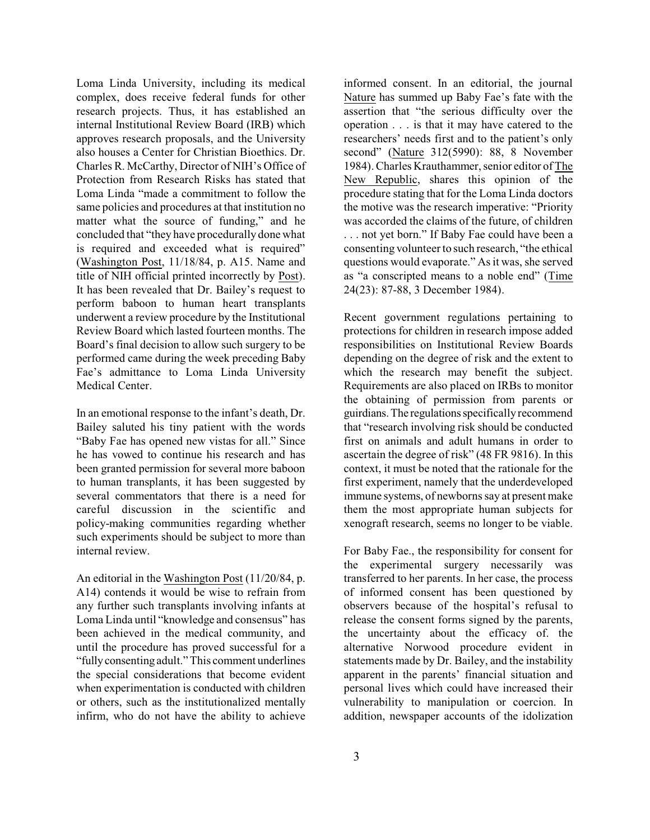Loma Linda University, including its medical complex, does receive federal funds for other research projects. Thus, it has established an internal Institutional Review Board (IRB) which approves research proposals, and the University also houses a Center for Christian Bioethics. Dr. Charles R. McCarthy, Director of NIH's Office of Protection from Research Risks has stated that Loma Linda "made a commitment to follow the same policies and procedures at that institution no matter what the source of funding," and he concluded that "they have procedurally done what is required and exceeded what is required" (Washington Post, 11/18/84, p. A15. Name and title of NIH official printed incorrectly by Post). It has been revealed that Dr. Bailey's request to perform baboon to human heart transplants underwent a review procedure by the Institutional Review Board which lasted fourteen months. The Board's final decision to allow such surgery to be performed came during the week preceding Baby Fae's admittance to Loma Linda University Medical Center.

In an emotional response to the infant's death, Dr. Bailey saluted his tiny patient with the words "Baby Fae has opened new vistas for all." Since he has vowed to continue his research and has been granted permission for several more baboon to human transplants, it has been suggested by several commentators that there is a need for careful discussion in the scientific and policy-making communities regarding whether such experiments should be subject to more than internal review.

An editorial in the Washington Post (11/20/84, p. A14) contends it would be wise to refrain from any further such transplants involving infants at Loma Linda until "knowledge and consensus" has been achieved in the medical community, and until the procedure has proved successful for a "fullyconsenting adult." This comment underlines the special considerations that become evident when experimentation is conducted with children or others, such as the institutionalized mentally infirm, who do not have the ability to achieve informed consent. In an editorial, the journal Nature has summed up Baby Fae's fate with the assertion that "the serious difficulty over the operation . . . is that it may have catered to the researchers' needs first and to the patient's only second" (Nature 312(5990): 88, 8 November 1984). Charles Krauthammer, senior editor of The New Republic, shares this opinion of the procedure stating that for the Loma Linda doctors the motive was the research imperative: "Priority was accorded the claims of the future, of children . . . not yet born." If Baby Fae could have been a consenting volunteer to such research, "the ethical questions would evaporate." As it was, she served as "a conscripted means to a noble end" (Time 24(23): 87-88, 3 December 1984).

Recent government regulations pertaining to protections for children in research impose added responsibilities on Institutional Review Boards depending on the degree of risk and the extent to which the research may benefit the subject. Requirements are also placed on IRBs to monitor the obtaining of permission from parents or guirdians.The regulationsspecifically recommend that "research involving risk should be conducted first on animals and adult humans in order to ascertain the degree of risk" (48 FR 9816). In this context, it must be noted that the rationale for the first experiment, namely that the underdeveloped immune systems, of newborns say at present make them the most appropriate human subjects for xenograft research, seems no longer to be viable.

For Baby Fae., the responsibility for consent for the experimental surgery necessarily was transferred to her parents. In her case, the process of informed consent has been questioned by observers because of the hospital's refusal to release the consent forms signed by the parents, the uncertainty about the efficacy of. the alternative Norwood procedure evident in statements made by Dr. Bailey, and the instability apparent in the parents' financial situation and personal lives which could have increased their vulnerability to manipulation or coercion. In addition, newspaper accounts of the idolization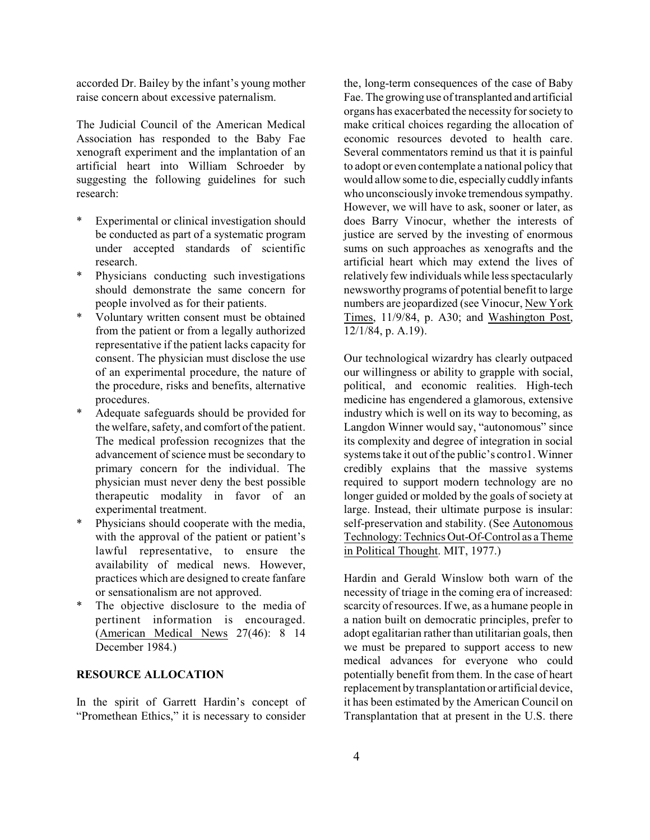accorded Dr. Bailey by the infant's young mother raise concern about excessive paternalism.

The Judicial Council of the American Medical Association has responded to the Baby Fae xenograft experiment and the implantation of an artificial heart into William Schroeder by suggesting the following guidelines for such research:

- Experimental or clinical investigation should be conducted as part of a systematic program under accepted standards of scientific research.
- Physicians conducting such investigations should demonstrate the same concern for people involved as for their patients.
- Voluntary written consent must be obtained from the patient or from a legally authorized representative if the patient lacks capacity for consent. The physician must disclose the use of an experimental procedure, the nature of the procedure, risks and benefits, alternative procedures.
- Adequate safeguards should be provided for the welfare, safety, and comfort of the patient. The medical profession recognizes that the advancement of science must be secondary to primary concern for the individual. The physician must never deny the best possible therapeutic modality in favor of an experimental treatment.
- Physicians should cooperate with the media, with the approval of the patient or patient's lawful representative, to ensure the availability of medical news. However, practices which are designed to create fanfare or sensationalism are not approved.
- The objective disclosure to the media of pertinent information is encouraged. (American Medical News 27(46): 8 14 December 1984.)

#### **RESOURCE ALLOCATION**

In the spirit of Garrett Hardin's concept of "Promethean Ethics," it is necessary to consider

the, long-term consequences of the case of Baby Fae. The growing use of transplanted and artificial organs has exacerbated the necessity forsociety to make critical choices regarding the allocation of economic resources devoted to health care. Several commentators remind us that it is painful to adopt or even contemplate a national policy that would allow some to die, especially cuddly infants who unconsciously invoke tremendous sympathy. However, we will have to ask, sooner or later, as does Barry Vinocur, whether the interests of justice are served by the investing of enormous sums on such approaches as xenografts and the artificial heart which may extend the lives of relatively few individuals while less spectacularly newsworthy programs of potential benefit to large numbers are jeopardized (see Vinocur, New York Times, 11/9/84, p. A30; and Washington Post, 12/1/84, p. A.19).

Our technological wizardry has clearly outpaced our willingness or ability to grapple with social, political, and economic realities. High-tech medicine has engendered a glamorous, extensive industry which is well on its way to becoming, as Langdon Winner would say, "autonomous" since its complexity and degree of integration in social systems take it out of the public's contro1. Winner credibly explains that the massive systems required to support modern technology are no longer guided or molded by the goals of society at large. Instead, their ultimate purpose is insular: self-preservation and stability. (See Autonomous Technology:Technics Out-Of-Control as a Theme in Political Thought. MIT, 1977.)

Hardin and Gerald Winslow both warn of the necessity of triage in the coming era of increased: scarcity of resources. If we, as a humane people in a nation built on democratic principles, prefer to adopt egalitarian rather than utilitarian goals, then we must be prepared to support access to new medical advances for everyone who could potentially benefit from them. In the case of heart replacement by transplantation or artificial device, it has been estimated by the American Council on Transplantation that at present in the U.S. there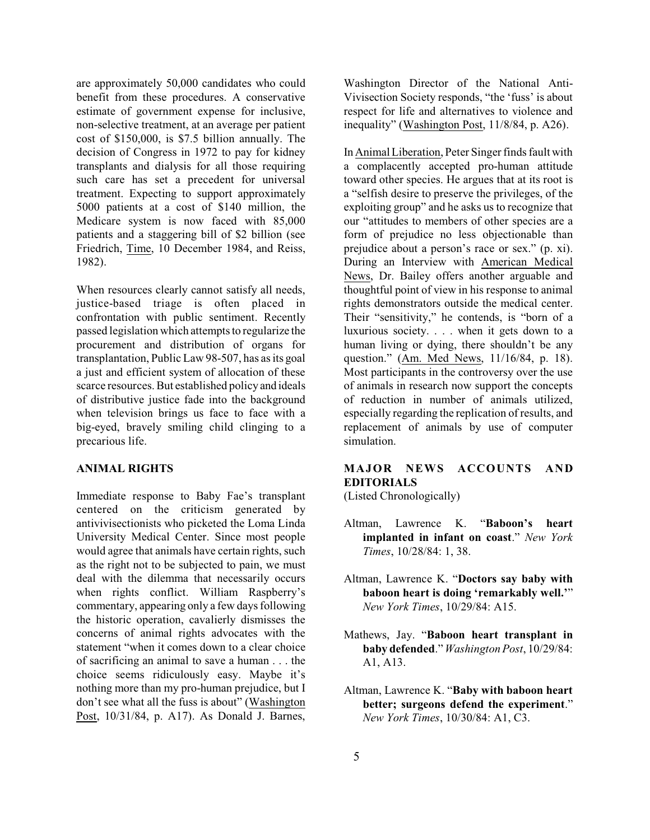are approximately 50,000 candidates who could benefit from these procedures. A conservative estimate of government expense for inclusive, non-selective treatment, at an average per patient cost of \$150,000, is \$7.5 billion annually. The decision of Congress in 1972 to pay for kidney transplants and dialysis for all those requiring such care has set a precedent for universal treatment. Expecting to support approximately 5000 patients at a cost of \$140 million, the Medicare system is now faced with 85,000 patients and a staggering bill of \$2 billion (see Friedrich, Time, 10 December 1984, and Reiss, 1982).

When resources clearly cannot satisfy all needs, justice-based triage is often placed in confrontation with public sentiment. Recently passed legislation which attempts to regularize the procurement and distribution of organs for transplantation, Public Law 98-507, has as its goal a just and efficient system of allocation of these scarce resources. But established policy and ideals of distributive justice fade into the background when television brings us face to face with a big-eyed, bravely smiling child clinging to a precarious life.

## **ANIMAL RIGHTS**

Immediate response to Baby Fae's transplant centered on the criticism generated by antivivisectionists who picketed the Loma Linda University Medical Center. Since most people would agree that animals have certain rights, such as the right not to be subjected to pain, we must deal with the dilemma that necessarily occurs when rights conflict. William Raspberry's commentary, appearing only a few days following the historic operation, cavalierly dismisses the concerns of animal rights advocates with the statement "when it comes down to a clear choice of sacrificing an animal to save a human . . . the choice seems ridiculously easy. Maybe it's nothing more than my pro-human prejudice, but I don't see what all the fuss is about" (Washington Post, 10/31/84, p. A17). As Donald J. Barnes,

Washington Director of the National Anti-Vivisection Society responds, "the 'fuss' is about respect for life and alternatives to violence and inequality" (Washington Post, 11/8/84, p. A26).

In Animal Liberation, Peter Singer finds fault with a complacently accepted pro-human attitude toward other species. He argues that at its root is a "selfish desire to preserve the privileges, of the exploiting group" and he asks us to recognize that our "attitudes to members of other species are a form of prejudice no less objectionable than prejudice about a person's race or sex." (p. xi). During an Interview with American Medical News, Dr. Bailey offers another arguable and thoughtful point of view in his response to animal rights demonstrators outside the medical center. Their "sensitivity," he contends, is "born of a luxurious society. . . . when it gets down to a human living or dying, there shouldn't be any question." (Am. Med News, 11/16/84, p. 18). Most participants in the controversy over the use of animals in research now support the concepts of reduction in number of animals utilized, especially regarding the replication of results, and replacement of animals by use of computer simulation.

# **MAJOR NEWS ACCOUNTS AND EDITORIALS**

(Listed Chronologically)

- Altman, Lawrence K. "**Baboon's heart implanted in infant on coast**." *New York Times*, 10/28/84: 1, 38.
- Altman, Lawrence K. "**Doctors say baby with baboon heart is doing 'remarkably well.'**" *New York Times*, 10/29/84: A15.
- Mathews, Jay. "**Baboon heart transplant in baby defended**." *Washington Post*, 10/29/84: A1, A13.
- Altman, Lawrence K. "**Baby with baboon heart better; surgeons defend the experiment**." *New York Times*, 10/30/84: A1, C3.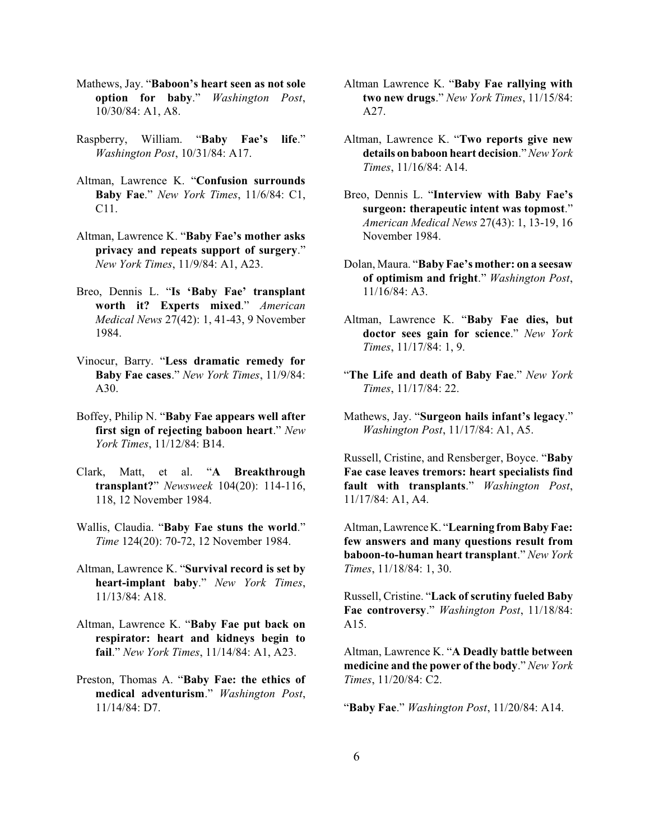- Mathews, Jay. "**Baboon's heart seen as not sole option for baby**." *Washington Post*, 10/30/84: A1, A8.
- Raspberry, William. "**Baby Fae's life**." *Washington Post*, 10/31/84: A17.
- Altman, Lawrence K. "**Confusion surrounds Baby Fae**." *New York Times*, 11/6/84: C1, C11.
- Altman, Lawrence K. "**Baby Fae's mother asks privacy and repeats support of surgery**." *New York Times*, 11/9/84: A1, A23.
- Breo, Dennis L. "**Is 'Baby Fae' transplant worth it? Experts mixed**." *American Medical News* 27(42): 1, 41-43, 9 November 1984.
- Vinocur, Barry. "**Less dramatic remedy for Baby Fae cases**." *New York Times*, 11/9/84: A30.
- Boffey, Philip N. "**Baby Fae appears well after first sign of rejecting baboon heart**." *New York Times*, 11/12/84: B14.
- Clark, Matt, et al. "**A Breakthrough transplant?**" *Newsweek* 104(20): 114-116, 118, 12 November 1984.
- Wallis, Claudia. "**Baby Fae stuns the world**." *Time* 124(20): 70-72, 12 November 1984.
- Altman, Lawrence K. "**Survival record is set by heart-implant baby**." *New York Times*, 11/13/84: A18.
- Altman, Lawrence K. "**Baby Fae put back on respirator: heart and kidneys begin to fail**." *New York Times*, 11/14/84: A1, A23.
- Preston, Thomas A. "**Baby Fae: the ethics of medical adventurism**." *Washington Post*, 11/14/84: D7.
- Altman Lawrence K. "**Baby Fae rallying with two new drugs**." *New York Times*, 11/15/84: A27.
- Altman, Lawrence K. "**Two reports give new details on baboon heart decision**." *New York Times*, 11/16/84: A14.
- Breo, Dennis L. "**Interview with Baby Fae's surgeon: therapeutic intent was topmost**." *American Medical News* 27(43): 1, 13-19, 16 November 1984.
- Dolan, Maura. "**Baby Fae's mother: on a seesaw of optimism and fright**." *Washington Post*, 11/16/84: A3.
- Altman, Lawrence K. "**Baby Fae dies, but doctor sees gain for science**." *New York Times*, 11/17/84: 1, 9.
- "**The Life and death of Baby Fae**." *New York Times*, 11/17/84: 22.
- Mathews, Jay. "**Surgeon hails infant's legacy**." *Washington Post*, 11/17/84: A1, A5.

Russell, Cristine, and Rensberger, Boyce. "**Baby Fae case leaves tremors: heart specialists find fault with transplants**." *Washington Post*, 11/17/84: A1, A4.

Altman, LawrenceK. "**Learning from Baby Fae: few answers and many questions result from baboon-to-human heart transplant**." *New York Times*, 11/18/84: 1, 30.

Russell, Cristine. "**Lack of scrutiny fueled Baby Fae controversy**." *Washington Post*, 11/18/84: A15.

Altman, Lawrence K. "**A Deadly battle between medicine and the power of the body**." *New York Times*, 11/20/84: C2.

"**Baby Fae**." *Washington Post*, 11/20/84: A14.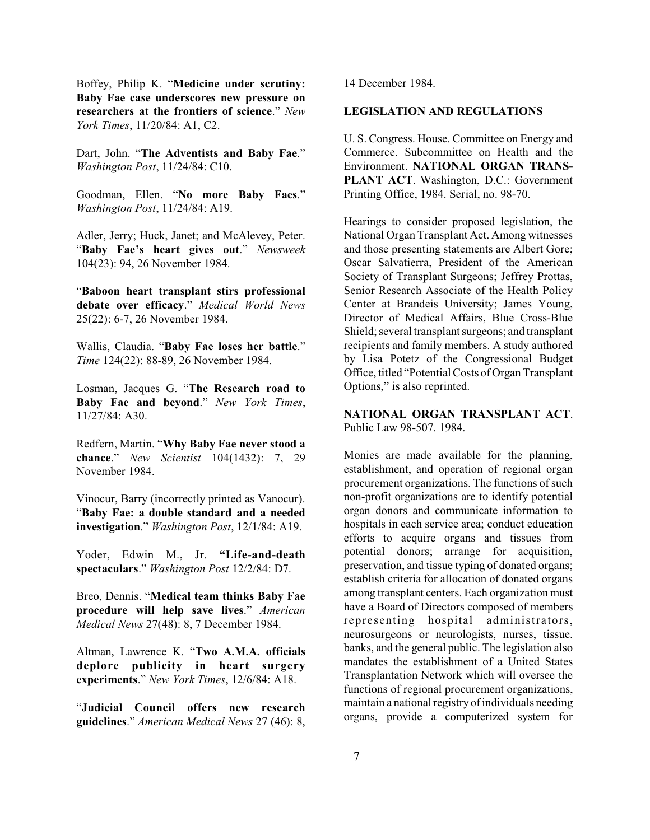Boffey, Philip K. "**Medicine under scrutiny: Baby Fae case underscores new pressure on researchers at the frontiers of science**." *New York Times*, 11/20/84: A1, C2.

Dart, John. "**The Adventists and Baby Fae**." *Washington Post*, 11/24/84: C10.

Goodman, Ellen. "**No more Baby Faes**." *Washington Post*, 11/24/84: A19.

Adler, Jerry; Huck, Janet; and McAlevey, Peter. "**Baby Fae's heart gives out**." *Newsweek* 104(23): 94, 26 November 1984.

"**Baboon heart transplant stirs professional debate over efficacy**." *Medical World News* 25(22): 6-7, 26 November 1984.

Wallis, Claudia. "**Baby Fae loses her battle**." *Time* 124(22): 88-89, 26 November 1984.

Losman, Jacques G. "**The Research road to Baby Fae and beyond**." *New York Times*, 11/27/84: A30.

Redfern, Martin. "**Why Baby Fae never stood a chance**." *New Scientist* 104(1432): 7, 29 November 1984.

Vinocur, Barry (incorrectly printed as Vanocur). "**Baby Fae: a double standard and a needed investigation**." *Washington Post*, 12/1/84: A19.

Yoder, Edwin M., Jr. **"Life-and-death spectaculars**." *Washington Post* 12/2/84: D7.

Breo, Dennis. "**Medical team thinks Baby Fae procedure will help save lives**." *American Medical News* 27(48): 8, 7 December 1984.

Altman, Lawrence K. "**Two A.M.A. officials deplore publicity in heart surgery experiments**." *New York Times*, 12/6/84: A18.

"**Judicial Council offers new research guidelines**." *American Medical News* 27 (46): 8,

14 December 1984.

#### **LEGISLATION AND REGULATIONS**

U. S. Congress. House. Committee on Energy and Commerce. Subcommittee on Health and the Environment. **NATIONAL ORGAN TRANS-PLANT ACT**. Washington, D.C.: Government Printing Office, 1984. Serial, no. 98-70.

Hearings to consider proposed legislation, the National Organ Transplant Act. Among witnesses and those presenting statements are Albert Gore; Oscar Salvatierra, President of the American Society of Transplant Surgeons; Jeffrey Prottas, Senior Research Associate of the Health Policy Center at Brandeis University; James Young, Director of Medical Affairs, Blue Cross-Blue Shield; several transplant surgeons; and transplant recipients and family members. A study authored by Lisa Potetz of the Congressional Budget Office, titled "PotentialCosts of Organ Transplant Options," is also reprinted.

**NATIONAL ORGAN TRANSPLANT ACT**. Public Law 98-507. 1984.

Monies are made available for the planning, establishment, and operation of regional organ procurement organizations. The functions of such non-profit organizations are to identify potential organ donors and communicate information to hospitals in each service area; conduct education efforts to acquire organs and tissues from potential donors; arrange for acquisition, preservation, and tissue typing of donated organs; establish criteria for allocation of donated organs among transplant centers. Each organization must have a Board of Directors composed of members representing hospital administrators, neurosurgeons or neurologists, nurses, tissue. banks, and the general public. The legislation also mandates the establishment of a United States Transplantation Network which will oversee the functions of regional procurement organizations, maintain a national registry of individuals needing organs, provide a computerized system for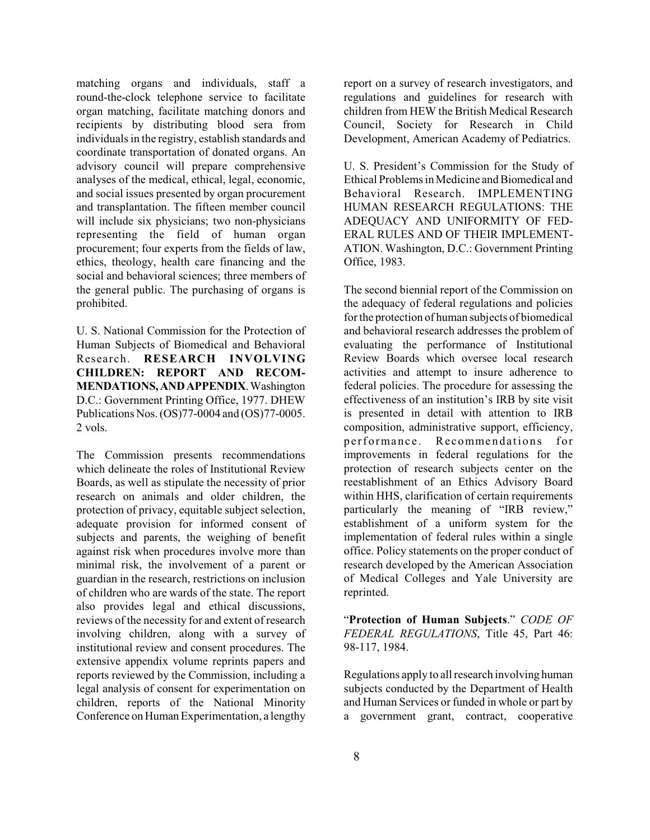matching organs and individuals, staff a round-the-clock telephone service to facilitate organ matching, facilitate matching donors and recipients by distributing blood sera from individuals in the registry, establish standards and coordinate transportation of donated organs. An advisory council will prepare comprehensive analyses of the medical, ethical, legal, economic, and social issues presented by organ procurement and transplantation. The fifteen member council will include six physicians; two non-physicians representing the field of human organ procurement; four experts from the fields of law, ethics, theology, health care financing and the social and behavioral sciences; three members of the general public. The purchasing of organs is prohibited.

U. S. National Commission for the Protection of Human Subjects of Biomedical and Behavioral Research. **RESEARCH INVOLVING CHILDREN: REPORT AND RECOM-MENDATIONS,ANDAPPENDIX**.Washington D.C.: Government Printing Office, 1977. DHEW Publications Nos. (OS)77-0004 and (OS)77-0005. 2 vols.

The Commission presents recommendations which delineate the roles of Institutional Review Boards, as well as stipulate the necessity of prior research on animals and older children, the protection of privacy, equitable subject selection, adequate provision for informed consent of subjects and parents, the weighing of benefit against risk when procedures involve more than minimal risk, the involvement of a parent or guardian in the research, restrictions on inclusion of children who are wards of the state. The report also provides legal and ethical discussions, reviews of the necessity for and extent of research involving children, along with a survey of institutional review and consent procedures. The extensive appendix volume reprints papers and reports reviewed by the Commission, including a legal analysis of consent for experimentation on children, reports of the National Minority Conference on Human Experimentation, a lengthy

report on a survey of research investigators, and regulations and guidelines for research with children from HEW the British Medical Research Council, Society for Research in Child Development, American Academy of Pediatrics.

U. S. President's Commission for the Study of Ethical Problems in Medicine and Biomedical and Behavioral Research. IMPLEMENTING HUMAN RESEARCH REGULATIONS: THE ADEQUACY AND UNIFORMITY OF FED-ERAL RULES AND OF THEIR IMPLEMENT-ATION. Washington, D.C.: Government Printing Office, 1983.

The second biennial report of the Commission on the adequacy of federal regulations and policies forthe protection of human subjects of biomedical and behavioral research addresses the problem of evaluating the performance of Institutional Review Boards which oversee local research activities and attempt to insure adherence to federal policies. The procedure for assessing the effectiveness of an institution's IRB by site visit is presented in detail with attention to IRB composition, administrative support, efficiency, performance. Recommendations for improvements in federal regulations for the protection of research subjects center on the reestablishment of an Ethics Advisory Board within HHS, clarification of certain requirements particularly the meaning of "IRB review," establishment of a uniform system for the implementation of federal rules within a single office. Policy statements on the proper conduct of research developed by the American Association of Medical Colleges and Yale University are reprinted.

"**Protection of Human Subjects**." *CODE OF FEDERAL REGULATIONS*, Title 45, Part 46: 98-117, 1984.

Regulations apply to allresearch involving human subjects conducted by the Department of Health and Human Services or funded in whole or part by a government grant, contract, cooperative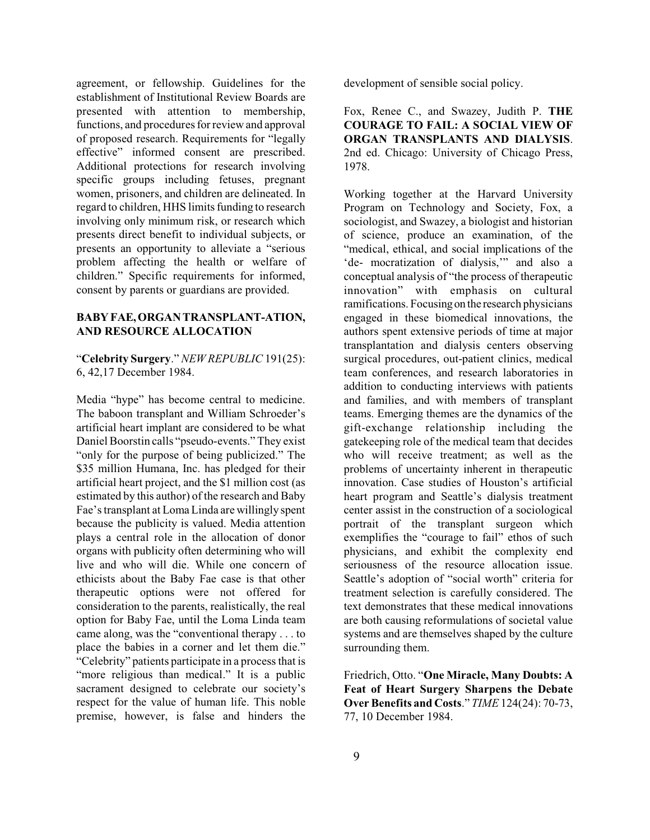agreement, or fellowship. Guidelines for the establishment of Institutional Review Boards are presented with attention to membership, functions, and procedures forreview and approval of proposed research. Requirements for "legally effective" informed consent are prescribed. Additional protections for research involving specific groups including fetuses, pregnant women, prisoners, and children are delineated. In regard to children, HHS limits funding to research involving only minimum risk, or research which presents direct benefit to individual subjects, or presents an opportunity to alleviate a "serious problem affecting the health or welfare of children." Specific requirements for informed, consent by parents or guardians are provided.

### **BABY FAE,ORGAN TRANSPLANT-ATION, AND RESOURCE ALLOCATION**

"**Celebrity Surgery**." *NEW REPUBLIC* 191(25): 6, 42,17 December 1984.

Media "hype" has become central to medicine. The baboon transplant and William Schroeder's artificial heart implant are considered to be what Daniel Boorstin calls "pseudo-events." They exist "only for the purpose of being publicized." The \$35 million Humana, Inc. has pledged for their artificial heart project, and the \$1 million cost (as estimated by this author) of the research and Baby Fae's transplant at Loma Linda are willingly spent because the publicity is valued. Media attention plays a central role in the allocation of donor organs with publicity often determining who will live and who will die. While one concern of ethicists about the Baby Fae case is that other therapeutic options were not offered for consideration to the parents, realistically, the real option for Baby Fae, until the Loma Linda team came along, was the "conventional therapy . . . to place the babies in a corner and let them die." "Celebrity" patients participate in a process that is "more religious than medical." It is a public sacrament designed to celebrate our society's respect for the value of human life. This noble premise, however, is false and hinders the

development of sensible social policy.

Fox, Renee C., and Swazey, Judith P. **THE COURAGE TO FAIL: A SOCIAL VIEW OF ORGAN TRANSPLANTS AND DIALYSIS**. 2nd ed. Chicago: University of Chicago Press, 1978.

Working together at the Harvard University Program on Technology and Society, Fox, a sociologist, and Swazey, a biologist and historian of science, produce an examination, of the "medical, ethical, and social implications of the 'de- mocratization of dialysis,'" and also a conceptual analysis of "the process of therapeutic innovation" with emphasis on cultural ramifications. Focusingon the research physicians engaged in these biomedical innovations, the authors spent extensive periods of time at major transplantation and dialysis centers observing surgical procedures, out-patient clinics, medical team conferences, and research laboratories in addition to conducting interviews with patients and families, and with members of transplant teams. Emerging themes are the dynamics of the gift-exchange relationship including the gatekeeping role of the medical team that decides who will receive treatment; as well as the problems of uncertainty inherent in therapeutic innovation. Case studies of Houston's artificial heart program and Seattle's dialysis treatment center assist in the construction of a sociological portrait of the transplant surgeon which exemplifies the "courage to fail" ethos of such physicians, and exhibit the complexity end seriousness of the resource allocation issue. Seattle's adoption of "social worth" criteria for treatment selection is carefully considered. The text demonstrates that these medical innovations are both causing reformulations of societal value systems and are themselves shaped by the culture surrounding them.

Friedrich, Otto. "**One Miracle, Many Doubts: A Feat of Heart Surgery Sharpens the Debate Over Benefits and Costs**." *TIME* 124(24): 70-73, 77, 10 December 1984.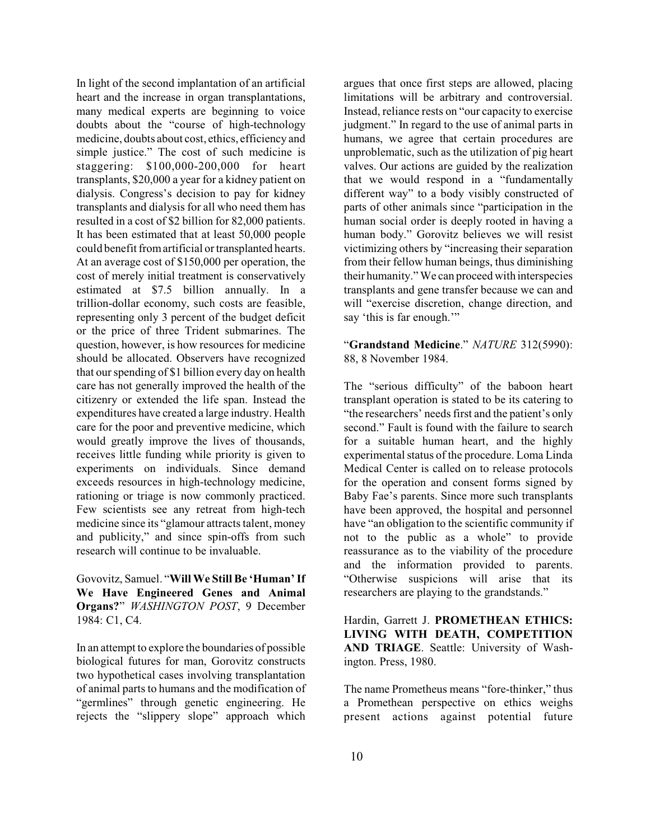In light of the second implantation of an artificial heart and the increase in organ transplantations, many medical experts are beginning to voice doubts about the "course of high-technology medicine, doubts about cost, ethics, efficiency and simple justice." The cost of such medicine is staggering: \$100,000-200,000 for heart transplants, \$20,000 a year for a kidney patient on dialysis. Congress's decision to pay for kidney transplants and dialysis for all who need them has resulted in a cost of \$2 billion for 82,000 patients. It has been estimated that at least 50,000 people could benefit from artificial or transplanted hearts. At an average cost of \$150,000 per operation, the cost of merely initial treatment is conservatively estimated at \$7.5 billion annually. In a trillion-dollar economy, such costs are feasible, representing only 3 percent of the budget deficit or the price of three Trident submarines. The question, however, is how resources for medicine should be allocated. Observers have recognized that ourspending of \$1 billion every day on health care has not generally improved the health of the citizenry or extended the life span. Instead the expenditures have created a large industry. Health care for the poor and preventive medicine, which would greatly improve the lives of thousands, receives little funding while priority is given to experiments on individuals. Since demand exceeds resources in high-technology medicine, rationing or triage is now commonly practiced. Few scientists see any retreat from high-tech medicine since its "glamour attracts talent, money and publicity," and since spin-offs from such research will continue to be invaluable.

Govovitz, Samuel. "**Will We Still Be 'Human'If We Have Engineered Genes and Animal Organs?**" *WASHINGTON POST*, 9 December 1984: C1, C4.

In an attempt to explore the boundaries of possible biological futures for man, Gorovitz constructs two hypothetical cases involving transplantation of animal parts to humans and the modification of "germlines" through genetic engineering. He rejects the "slippery slope" approach which

argues that once first steps are allowed, placing limitations will be arbitrary and controversial. Instead, reliance rests on "our capacity to exercise judgment." In regard to the use of animal parts in humans, we agree that certain procedures are unproblematic, such as the utilization of pig heart valves. Our actions are guided by the realization that we would respond in a "fundamentally different way" to a body visibly constructed of parts of other animals since "participation in the human social order is deeply rooted in having a human body." Gorovitz believes we will resist victimizing others by "increasing their separation from their fellow human beings, thus diminishing their humanity." We can proceed with interspecies transplants and gene transfer because we can and will "exercise discretion, change direction, and say 'this is far enough.'"

"**Grandstand Medicine**." *NATURE* 312(5990): 88, 8 November 1984.

The "serious difficulty" of the baboon heart transplant operation is stated to be its catering to "the researchers' needs first and the patient's only second." Fault is found with the failure to search for a suitable human heart, and the highly experimental status of the procedure. Loma Linda Medical Center is called on to release protocols for the operation and consent forms signed by Baby Fae's parents. Since more such transplants have been approved, the hospital and personnel have "an obligation to the scientific community if not to the public as a whole" to provide reassurance as to the viability of the procedure and the information provided to parents. "Otherwise suspicions will arise that its researchers are playing to the grandstands."

Hardin, Garrett J. **PROMETHEAN ETHICS: LIVING WITH DEATH, COMPETITION AND TRIAGE**. Seattle: University of Washington. Press, 1980.

The name Prometheus means "fore-thinker," thus a Promethean perspective on ethics weighs present actions against potential future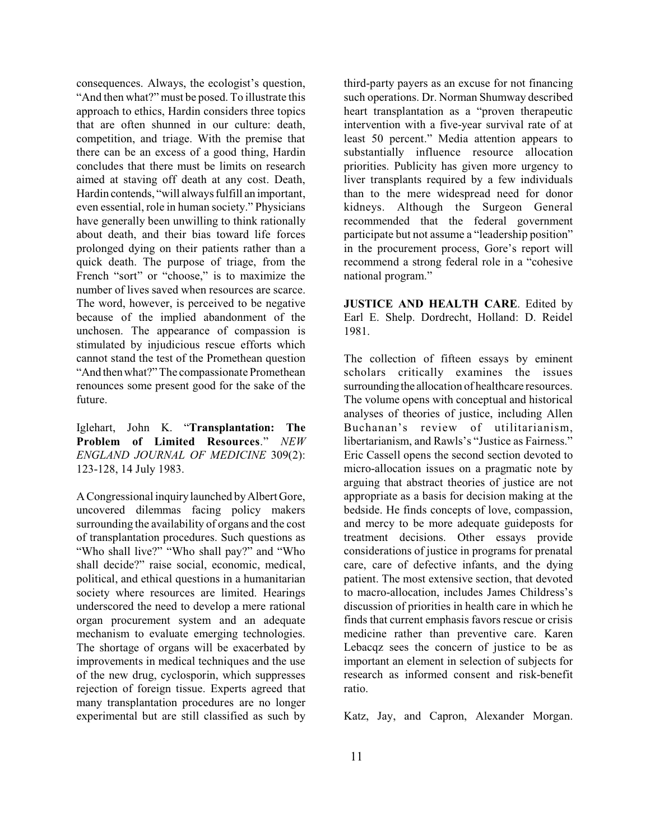consequences. Always, the ecologist's question, "And then what?" must be posed. To illustrate this approach to ethics, Hardin considers three topics that are often shunned in our culture: death, competition, and triage. With the premise that there can be an excess of a good thing, Hardin concludes that there must be limits on research aimed at staving off death at any cost. Death, Hardin contends, "will always fulfill an important, even essential, role in human society." Physicians have generally been unwilling to think rationally about death, and their bias toward life forces prolonged dying on their patients rather than a quick death. The purpose of triage, from the French "sort" or "choose," is to maximize the number of lives saved when resources are scarce. The word, however, is perceived to be negative because of the implied abandonment of the unchosen. The appearance of compassion is stimulated by injudicious rescue efforts which cannot stand the test of the Promethean question "And thenwhat?" The compassionate Promethean renounces some present good for the sake of the future.

Iglehart, John K. "**Transplantation: The Problem of Limited Resources**." *NEW ENGLAND JOURNAL OF MEDICINE* 309(2): 123-128, 14 July 1983.

A Congressional inquiry launched byAlbertGore, uncovered dilemmas facing policy makers surrounding the availability of organs and the cost of transplantation procedures. Such questions as "Who shall live?" "Who shall pay?" and "Who shall decide?" raise social, economic, medical, political, and ethical questions in a humanitarian society where resources are limited. Hearings underscored the need to develop a mere rational organ procurement system and an adequate mechanism to evaluate emerging technologies. The shortage of organs will be exacerbated by improvements in medical techniques and the use of the new drug, cyclosporin, which suppresses rejection of foreign tissue. Experts agreed that many transplantation procedures are no longer experimental but are still classified as such by

third-party payers as an excuse for not financing such operations. Dr. Norman Shumway described heart transplantation as a "proven therapeutic intervention with a five-year survival rate of at least 50 percent." Media attention appears to substantially influence resource allocation priorities. Publicity has given more urgency to liver transplants required by a few individuals than to the mere widespread need for donor kidneys. Although the Surgeon General recommended that the federal government participate but not assume a "leadership position" in the procurement process, Gore's report will recommend a strong federal role in a "cohesive national program."

**JUSTICE AND HEALTH CARE**. Edited by Earl E. Shelp. Dordrecht, Holland: D. Reidel 1981.

The collection of fifteen essays by eminent scholars critically examines the issues surrounding the allocation of healthcare resources. The volume opens with conceptual and historical analyses of theories of justice, including Allen Buchanan's review of utilitarianism, libertarianism, and Rawls's "Justice as Fairness." Eric Cassell opens the second section devoted to micro-allocation issues on a pragmatic note by arguing that abstract theories of justice are not appropriate as a basis for decision making at the bedside. He finds concepts of love, compassion, and mercy to be more adequate guideposts for treatment decisions. Other essays provide considerations of justice in programs for prenatal care, care of defective infants, and the dying patient. The most extensive section, that devoted to macro-allocation, includes James Childress's discussion of priorities in health care in which he finds that current emphasis favors rescue or crisis medicine rather than preventive care. Karen Lebacqz sees the concern of justice to be as important an element in selection of subjects for research as informed consent and risk-benefit ratio.

Katz, Jay, and Capron, Alexander Morgan.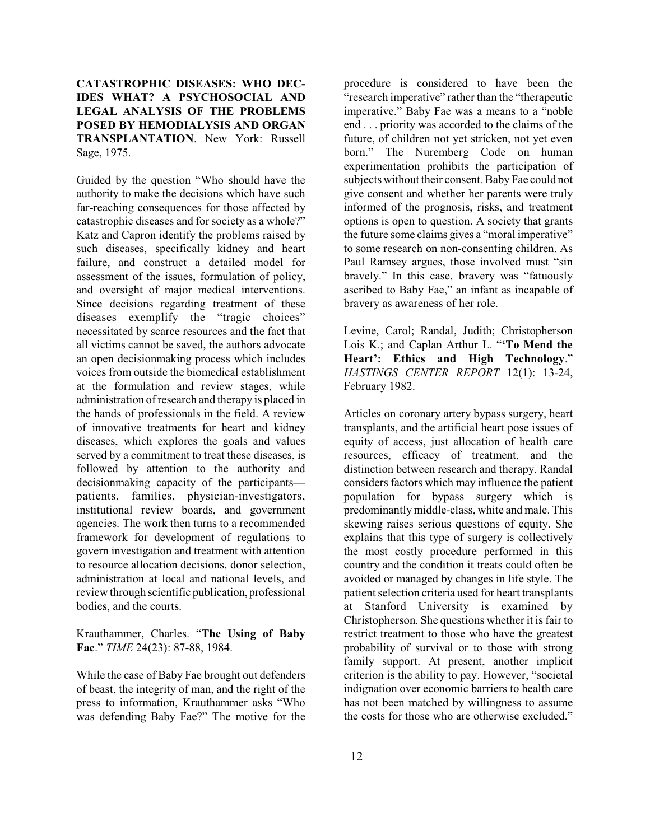# **CATASTROPHIC DISEASES: WHO DEC-IDES WHAT? A PSYCHOSOCIAL AND LEGAL ANALYSIS OF THE PROBLEMS POSED BY HEMODIALYSIS AND ORGAN TRANSPLANTATION**. New York: Russell Sage, 1975.

Guided by the question "Who should have the authority to make the decisions which have such far-reaching consequences for those affected by catastrophic diseases and for society as a whole?" Katz and Capron identify the problems raised by such diseases, specifically kidney and heart failure, and construct a detailed model for assessment of the issues, formulation of policy, and oversight of major medical interventions. Since decisions regarding treatment of these diseases exemplify the "tragic choices" necessitated by scarce resources and the fact that all victims cannot be saved, the authors advocate an open decisionmaking process which includes voices from outside the biomedical establishment at the formulation and review stages, while administration ofresearch and therapy is placed in the hands of professionals in the field. A review of innovative treatments for heart and kidney diseases, which explores the goals and values served by a commitment to treat these diseases, is followed by attention to the authority and decisionmaking capacity of the participants patients, families, physician-investigators, institutional review boards, and government agencies. The work then turns to a recommended framework for development of regulations to govern investigation and treatment with attention to resource allocation decisions, donor selection, administration at local and national levels, and review through scientific publication, professional bodies, and the courts.

Krauthammer, Charles. "**The Using of Baby Fae**." *TIME* 24(23): 87-88, 1984.

While the case of Baby Fae brought out defenders of beast, the integrity of man, and the right of the press to information, Krauthammer asks "Who was defending Baby Fae?" The motive for the procedure is considered to have been the "research imperative" rather than the "therapeutic imperative." Baby Fae was a means to a "noble end . . . priority was accorded to the claims of the future, of children not yet stricken, not yet even born." The Nuremberg Code on human experimentation prohibits the participation of subjects without their consent. Baby Fae could not give consent and whether her parents were truly informed of the prognosis, risks, and treatment options is open to question. A society that grants the future some claims gives a "moral imperative" to some research on non-consenting children. As Paul Ramsey argues, those involved must "sin bravely." In this case, bravery was "fatuously ascribed to Baby Fae," an infant as incapable of bravery as awareness of her role.

Levine, Carol; Randal, Judith; Christopherson Lois K.; and Caplan Arthur L. "**'To Mend the Heart': Ethics and High Technology**." *HASTINGS CENTER REPORT* 12(1): 13-24, February 1982.

Articles on coronary artery bypass surgery, heart transplants, and the artificial heart pose issues of equity of access, just allocation of health care resources, efficacy of treatment, and the distinction between research and therapy. Randal considers factors which may influence the patient population for bypass surgery which is predominantly middle-class, white and male. This skewing raises serious questions of equity. She explains that this type of surgery is collectively the most costly procedure performed in this country and the condition it treats could often be avoided or managed by changes in life style. The patient selection criteria used for heart transplants at Stanford University is examined by Christopherson. She questions whether it is fair to restrict treatment to those who have the greatest probability of survival or to those with strong family support. At present, another implicit criterion is the ability to pay. However, "societal indignation over economic barriers to health care has not been matched by willingness to assume the costs for those who are otherwise excluded."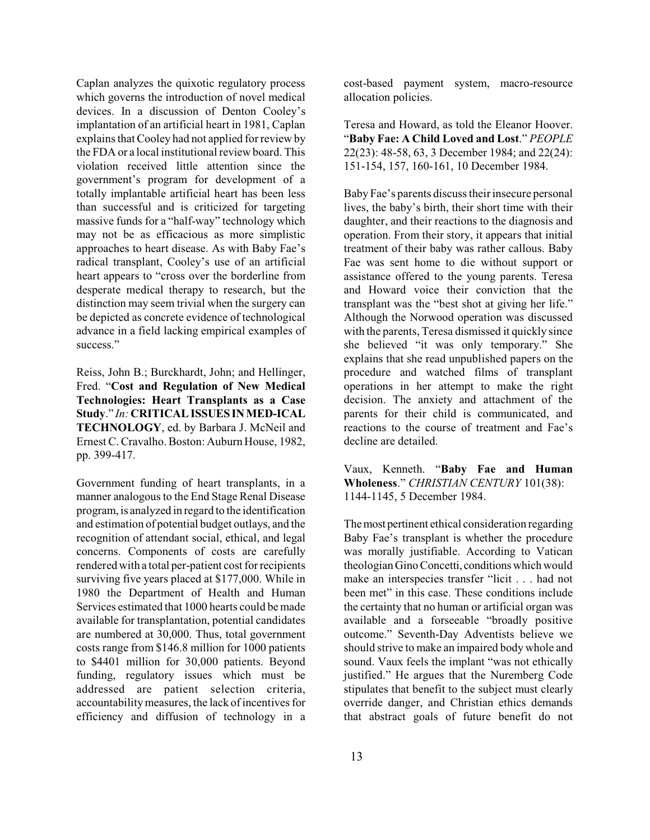Caplan analyzes the quixotic regulatory process which governs the introduction of novel medical devices. In a discussion of Denton Cooley's implantation of an artificial heart in 1981, Caplan explains that Cooley had not applied for review by the FDA or a local institutional review board. This violation received little attention since the government's program for development of a totally implantable artificial heart has been less than successful and is criticized for targeting massive funds for a "half-way" technology which may not be as efficacious as more simplistic approaches to heart disease. As with Baby Fae's radical transplant, Cooley's use of an artificial heart appears to "cross over the borderline from desperate medical therapy to research, but the distinction may seem trivial when the surgery can be depicted as concrete evidence of technological advance in a field lacking empirical examples of success."

Reiss, John B.; Burckhardt, John; and Hellinger, Fred. "**Cost and Regulation of New Medical Technologies: Heart Transplants as a Case Study**." *In:* **CRITICAL ISSUESINMED-ICAL TECHNOLOGY**, ed. by Barbara J. McNeil and Ernest C. Cravalho. Boston: Auburn House, 1982, pp. 399-417.

Government funding of heart transplants, in a manner analogous to the End Stage Renal Disease program, is analyzed in regard to the identification and estimation of potential budget outlays, and the recognition of attendant social, ethical, and legal concerns. Components of costs are carefully rendered with a total per-patient cost for recipients surviving five years placed at \$177,000. While in 1980 the Department of Health and Human Services estimated that 1000 hearts could be made available for transplantation, potential candidates are numbered at 30,000. Thus, total government costs range from \$146.8 million for 1000 patients to \$4401 million for 30,000 patients. Beyond funding, regulatory issues which must be addressed are patient selection criteria, accountability measures, the lack of incentives for efficiency and diffusion of technology in a cost-based payment system, macro-resource allocation policies.

Teresa and Howard, as told the Eleanor Hoover. "**Baby Fae: A Child Loved and Lost**." *PEOPLE* 22(23): 48-58, 63, 3 December 1984; and 22(24): 151-154, 157, 160-161, 10 December 1984.

Baby Fae's parents discuss their insecure personal lives, the baby's birth, their short time with their daughter, and their reactions to the diagnosis and operation. From their story, it appears that initial treatment of their baby was rather callous. Baby Fae was sent home to die without support or assistance offered to the young parents. Teresa and Howard voice their conviction that the transplant was the "best shot at giving her life." Although the Norwood operation was discussed with the parents, Teresa dismissed it quickly since she believed "it was only temporary." She explains that she read unpublished papers on the procedure and watched films of transplant operations in her attempt to make the right decision. The anxiety and attachment of the parents for their child is communicated, and reactions to the course of treatment and Fae's decline are detailed.

Vaux, Kenneth. "**Baby Fae and Human Wholeness**." *CHRISTIAN CENTURY* 101(38): 1144-1145, 5 December 1984.

The most pertinent ethical consideration regarding Baby Fae's transplant is whether the procedure was morally justifiable. According to Vatican theologian Gino Concetti, conditions which would make an interspecies transfer "licit . . . had not been met" in this case. These conditions include the certainty that no human or artificial organ was available and a forseeable "broadly positive outcome." Seventh-Day Adventists believe we should strive to make an impaired body whole and sound. Vaux feels the implant "was not ethically justified." He argues that the Nuremberg Code stipulates that benefit to the subject must clearly override danger, and Christian ethics demands that abstract goals of future benefit do not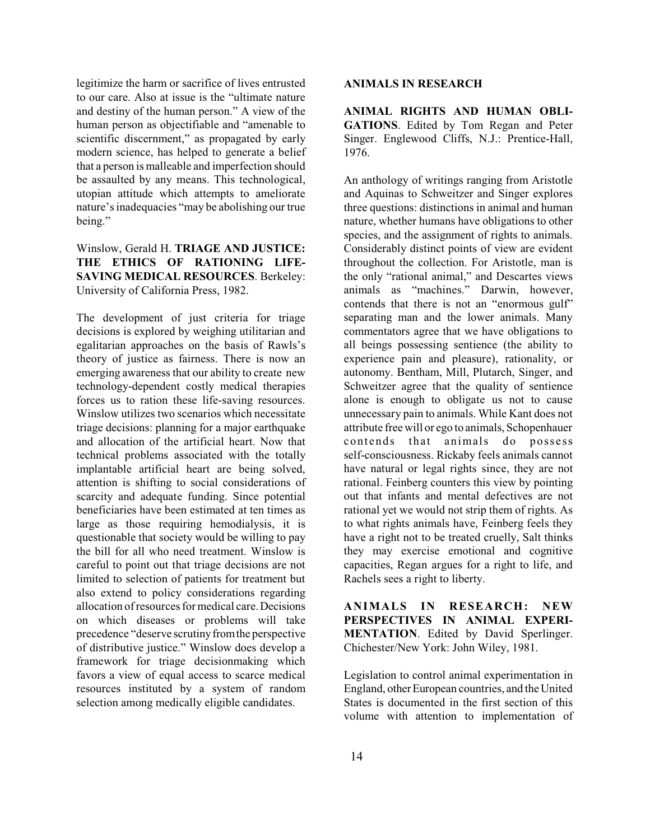legitimize the harm or sacrifice of lives entrusted to our care. Also at issue is the "ultimate nature and destiny of the human person." A view of the human person as objectifiable and "amenable to scientific discernment," as propagated by early modern science, has helped to generate a belief that a person is malleable and imperfection should be assaulted by any means. This technological, utopian attitude which attempts to ameliorate nature's inadequacies "may be abolishing our true being."

# Winslow, Gerald H. **TRIAGE AND JUSTICE: THE ETHICS OF RATIONING LIFE-SAVING MEDICAL RESOURCES**. Berkeley: University of California Press, 1982.

The development of just criteria for triage decisions is explored by weighing utilitarian and egalitarian approaches on the basis of Rawls's theory of justice as fairness. There is now an emerging awareness that our ability to create new technology-dependent costly medical therapies forces us to ration these life-saving resources. Winslow utilizes two scenarios which necessitate triage decisions: planning for a major earthquake and allocation of the artificial heart. Now that technical problems associated with the totally implantable artificial heart are being solved, attention is shifting to social considerations of scarcity and adequate funding. Since potential beneficiaries have been estimated at ten times as large as those requiring hemodialysis, it is questionable that society would be willing to pay the bill for all who need treatment. Winslow is careful to point out that triage decisions are not limited to selection of patients for treatment but also extend to policy considerations regarding allocation ofresources formedical care.Decisions on which diseases or problems will take precedence "deserve scrutiny from the perspective of distributive justice." Winslow does develop a framework for triage decisionmaking which favors a view of equal access to scarce medical resources instituted by a system of random selection among medically eligible candidates.

#### **ANIMALS IN RESEARCH**

**ANIMAL RIGHTS AND HUMAN OBLI-GATIONS**. Edited by Tom Regan and Peter Singer. Englewood Cliffs, N.J.: Prentice-Hall, 1976.

An anthology of writings ranging from Aristotle and Aquinas to Schweitzer and Singer explores three questions: distinctions in animal and human nature, whether humans have obligations to other species, and the assignment of rights to animals. Considerably distinct points of view are evident throughout the collection. For Aristotle, man is the only "rational animal," and Descartes views animals as "machines." Darwin, however, contends that there is not an "enormous gulf" separating man and the lower animals. Many commentators agree that we have obligations to all beings possessing sentience (the ability to experience pain and pleasure), rationality, or autonomy. Bentham, Mill, Plutarch, Singer, and Schweitzer agree that the quality of sentience alone is enough to obligate us not to cause unnecessary pain to animals. While Kant does not attribute free will or ego to animals, Schopenhauer contends that animals do possess self-consciousness. Rickaby feels animals cannot have natural or legal rights since, they are not rational. Feinberg counters this view by pointing out that infants and mental defectives are not rational yet we would not strip them of rights. As to what rights animals have, Feinberg feels they have a right not to be treated cruelly, Salt thinks they may exercise emotional and cognitive capacities, Regan argues for a right to life, and Rachels sees a right to liberty.

**ANIMALS IN RESEARCH: NEW PERSPECTIVES IN ANIMAL EXPERI-MENTATION**. Edited by David Sperlinger. Chichester/New York: John Wiley, 1981.

Legislation to control animal experimentation in England, otherEuropean countries, and the United States is documented in the first section of this volume with attention to implementation of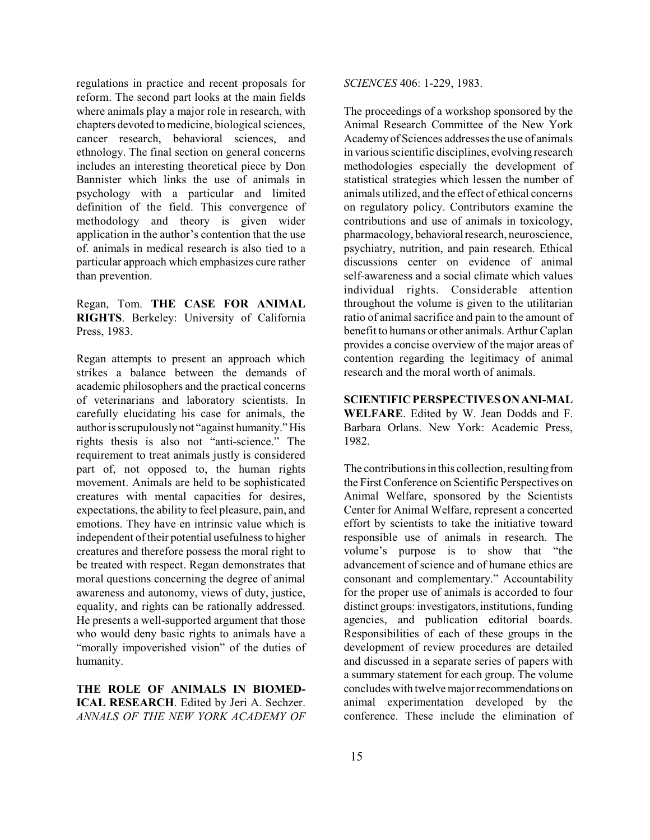regulations in practice and recent proposals for reform. The second part looks at the main fields where animals play a major role in research, with chapters devoted to medicine, biological sciences, cancer research, behavioral sciences, and ethnology. The final section on general concerns includes an interesting theoretical piece by Don Bannister which links the use of animals in psychology with a particular and limited definition of the field. This convergence of methodology and theory is given wider application in the author's contention that the use of. animals in medical research is also tied to a particular approach which emphasizes cure rather than prevention.

Regan, Tom. **THE CASE FOR ANIMAL RIGHTS**. Berkeley: University of California Press, 1983.

Regan attempts to present an approach which strikes a balance between the demands of academic philosophers and the practical concerns of veterinarians and laboratory scientists. In carefully elucidating his case for animals, the author is scrupulously not "against humanity." His rights thesis is also not "anti-science." The requirement to treat animals justly is considered part of, not opposed to, the human rights movement. Animals are held to be sophisticated creatures with mental capacities for desires, expectations, the ability to feel pleasure, pain, and emotions. They have en intrinsic value which is independent of their potential usefulness to higher creatures and therefore possess the moral right to be treated with respect. Regan demonstrates that moral questions concerning the degree of animal awareness and autonomy, views of duty, justice, equality, and rights can be rationally addressed. He presents a well-supported argument that those who would deny basic rights to animals have a "morally impoverished vision" of the duties of humanity.

**THE ROLE OF ANIMALS IN BIOMED-ICAL RESEARCH**. Edited by Jeri A. Sechzer. *ANNALS OF THE NEW YORK ACADEMY OF* *SCIENCES* 406: 1-229, 1983.

The proceedings of a workshop sponsored by the Animal Research Committee of the New York Academy of Sciences addresses the use of animals in various scientific disciplines, evolving research methodologies especially the development of statistical strategies which lessen the number of animals utilized, and the effect of ethical concerns on regulatory policy. Contributors examine the contributions and use of animals in toxicology, pharmacology, behavioral research, neuroscience, psychiatry, nutrition, and pain research. Ethical discussions center on evidence of animal self-awareness and a social climate which values individual rights. Considerable attention throughout the volume is given to the utilitarian ratio of animal sacrifice and pain to the amount of benefit to humans or other animals. Arthur Caplan provides a concise overview of the major areas of contention regarding the legitimacy of animal research and the moral worth of animals.

**SCIENTIFICPERSPECTIVES ONANI-MAL WELFARE**. Edited by W. Jean Dodds and F. Barbara Orlans. New York: Academic Press, 1982.

The contributions in this collection, resulting from the First Conference on Scientific Perspectives on Animal Welfare, sponsored by the Scientists Center for Animal Welfare, represent a concerted effort by scientists to take the initiative toward responsible use of animals in research. The volume's purpose is to show that "the advancement of science and of humane ethics are consonant and complementary." Accountability for the proper use of animals is accorded to four distinct groups: investigators, institutions, funding agencies, and publication editorial boards. Responsibilities of each of these groups in the development of review procedures are detailed and discussed in a separate series of papers with a summary statement for each group. The volume concludes with twelve major recommendations on animal experimentation developed by the conference. These include the elimination of